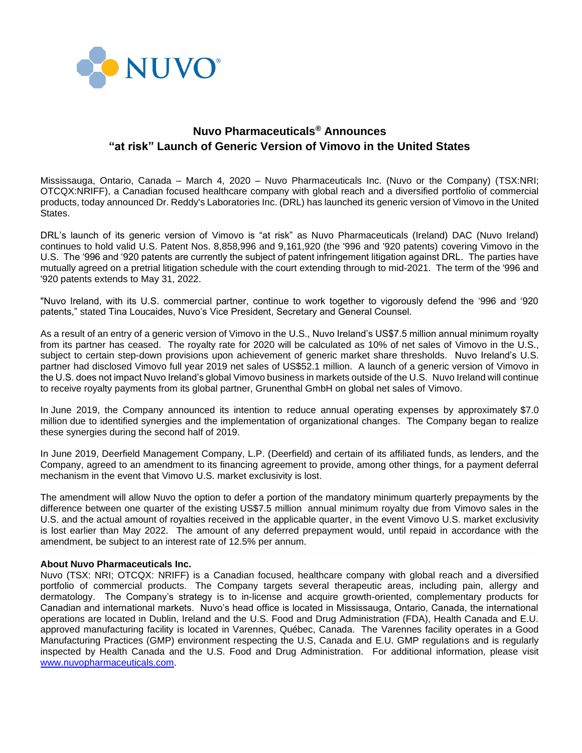

## **Nuvo Pharmaceuticals® Announces "at risk" Launch of Generic Version of Vimovo in the United States**

Mississauga, Ontario, Canada – March 4, 2020 – Nuvo Pharmaceuticals Inc. (Nuvo or the Company) (TSX:NRI; OTCQX:NRIFF), a Canadian focused healthcare company with global reach and a diversified portfolio of commercial products, today announced Dr. Reddy's Laboratories Inc. (DRL) has launched its generic version of Vimovo in the United States.

DRL's launch of its generic version of Vimovo is "at risk" as Nuvo Pharmaceuticals (Ireland) DAC (Nuvo Ireland) continues to hold valid U.S. Patent Nos. 8,858,996 and 9,161,920 (the '996 and '920 patents) covering Vimovo in the U.S. The '996 and '920 patents are currently the subject of patent infringement litigation against DRL. The parties have mutually agreed on a pretrial litigation schedule with the court extending through to mid-2021. The term of the '996 and '920 patents extends to May 31, 2022.

"Nuvo Ireland, with its U.S. commercial partner, continue to work together to vigorously defend the '996 and '920 patents," stated Tina Loucaides, Nuvo's Vice President, Secretary and General Counsel.

As a result of an entry of a generic version of Vimovo in the U.S., Nuvo Ireland's US\$7.5 million annual minimum royalty from its partner has ceased. The royalty rate for 2020 will be calculated as 10% of net sales of Vimovo in the U.S., subject to certain step-down provisions upon achievement of generic market share thresholds. Nuvo Ireland's U.S. partner had disclosed Vimovo full year 2019 net sales of US\$52.1 million. A launch of a generic version of Vimovo in the U.S. does not impact Nuvo Ireland's global Vimovo business in markets outside of the U.S. Nuvo Ireland will continue to receive royalty payments from its global partner, Grunenthal GmbH on global net sales of Vimovo.

In June 2019, the Company announced its intention to reduce annual operating expenses by approximately \$7.0 million due to identified synergies and the implementation of organizational changes. The Company began to realize these synergies during the second half of 2019.

In June 2019, Deerfield Management Company, L.P. (Deerfield) and certain of its affiliated funds, as lenders, and the Company, agreed to an amendment to its financing agreement to provide, among other things, for a payment deferral mechanism in the event that Vimovo U.S. market exclusivity is lost.

The amendment will allow Nuvo the option to defer a portion of the mandatory minimum quarterly prepayments by the difference between one quarter of the existing US\$7.5 million annual minimum royalty due from Vimovo sales in the U.S. and the actual amount of royalties received in the applicable quarter, in the event Vimovo U.S. market exclusivity is lost earlier than May 2022. The amount of any deferred prepayment would, until repaid in accordance with the amendment, be subject to an interest rate of 12.5% per annum.

## **About Nuvo Pharmaceuticals Inc.**

Nuvo (TSX: NRI; OTCQX: NRIFF) is a Canadian focused, healthcare company with global reach and a diversified portfolio of commercial products. The Company targets several therapeutic areas, including pain, allergy and dermatology. The Company's strategy is to in-license and acquire growth-oriented, complementary products for Canadian and international markets. Nuvo's head office is located in Mississauga, Ontario, Canada, the international operations are located in Dublin, Ireland and the U.S. Food and Drug Administration (FDA), Health Canada and E.U. approved manufacturing facility is located in Varennes, Québec, Canada. The Varennes facility operates in a Good Manufacturing Practices (GMP) environment respecting the U.S, Canada and E.U. GMP regulations and is regularly inspected by Health Canada and the U.S. Food and Drug Administration. For additional information, please visit [www.nuvopharmaceuticals.com.](http://www.nuvopharmaceuticals.com/)